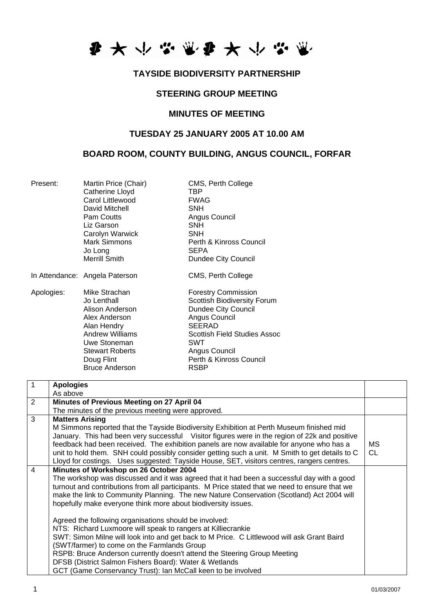

### **TAYSIDE BIODIVERSITY PARTNERSHIP**

# **STEERING GROUP MEETING**

#### **MINUTES OF MEETING**

### **TUESDAY 25 JANUARY 2005 AT 10.00 AM**

# **BOARD ROOM, COUNTY BUILDING, ANGUS COUNCIL, FORFAR**

| Present:   | Martin Price (Chair)<br>Catherine Lloyd<br>Carol Littlewood<br>David Mitchell<br>Pam Coutts<br>Liz Garson<br>Carolyn Warwick<br><b>Mark Simmons</b><br>Jo Long<br>Merrill Smith            | CMS, Perth College<br>TBP<br><b>FWAG</b><br><b>SNH</b><br>Angus Council<br><b>SNH</b><br><b>SNH</b><br>Perth & Kinross Council<br><b>SEPA</b><br>Dundee City Council                                                               |
|------------|--------------------------------------------------------------------------------------------------------------------------------------------------------------------------------------------|------------------------------------------------------------------------------------------------------------------------------------------------------------------------------------------------------------------------------------|
|            | In Attendance: Angela Paterson                                                                                                                                                             | CMS, Perth College                                                                                                                                                                                                                 |
| Apologies: | Mike Strachan<br>Jo Lenthall<br>Alison Anderson<br>Alex Anderson<br>Alan Hendry<br><b>Andrew Williams</b><br>Uwe Stoneman<br><b>Stewart Roberts</b><br>Doug Flint<br><b>Bruce Anderson</b> | <b>Forestry Commission</b><br><b>Scottish Biodiversity Forum</b><br><b>Dundee City Council</b><br>Angus Council<br><b>SEERAD</b><br>Scottish Field Studies Assoc<br>SWT<br>Angus Council<br>Perth & Kinross Council<br><b>RSBP</b> |

| $\mathbf{1}$   | <b>Apologies</b>                                                                                |           |
|----------------|-------------------------------------------------------------------------------------------------|-----------|
|                | As above                                                                                        |           |
| 2              | Minutes of Previous Meeting on 27 April 04                                                      |           |
|                | The minutes of the previous meeting were approved.                                              |           |
| 3              | <b>Matters Arising</b>                                                                          |           |
|                | M Simmons reported that the Tayside Biodiversity Exhibition at Perth Museum finished mid        |           |
|                | January. This had been very successful Visitor figures were in the region of 22k and positive   |           |
|                | feedback had been received. The exhibition panels are now available for anyone who has a        | MS.       |
|                | unit to hold them. SNH could possibly consider getting such a unit. M Smith to get details to C | <b>CL</b> |
|                | Lloyd for costings. Uses suggested: Tayside House, SET, visitors centres, rangers centres.      |           |
| $\overline{4}$ | Minutes of Workshop on 26 October 2004                                                          |           |
|                | The workshop was discussed and it was agreed that it had been a successful day with a good      |           |
|                | turnout and contributions from all participants. M Price stated that we need to ensure that we  |           |
|                | make the link to Community Planning. The new Nature Conservation (Scotland) Act 2004 will       |           |
|                | hopefully make everyone think more about biodiversity issues.                                   |           |
|                |                                                                                                 |           |
|                | Agreed the following organisations should be involved:                                          |           |
|                | NTS: Richard Luxmoore will speak to rangers at Killiecrankie                                    |           |
|                | SWT: Simon Milne will look into and get back to M Price. C Littlewood will ask Grant Baird      |           |
|                | (SWT/farmer) to come on the Farmlands Group                                                     |           |
|                | RSPB: Bruce Anderson currently doesn't attend the Steering Group Meeting                        |           |
|                | DFSB (District Salmon Fishers Board): Water & Wetlands                                          |           |
|                | GCT (Game Conservancy Trust): Ian McCall keen to be involved                                    |           |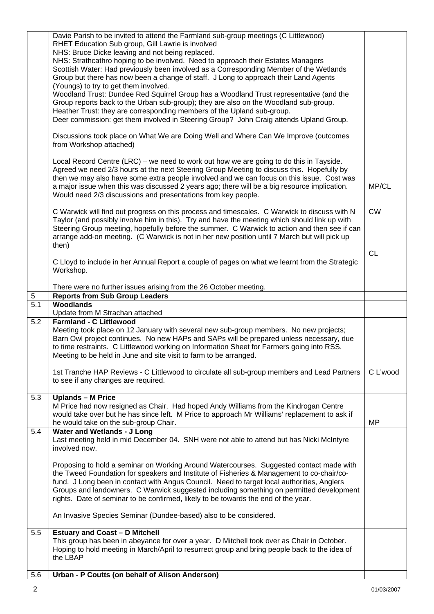| Davie Parish to be invited to attend the Farmland sub-group meetings (C Littlewood)<br>RHET Education Sub group, Gill Lawrie is involved<br>NHS: Bruce Dicke leaving and not being replaced.<br>NHS: Strathcathro hoping to be involved. Need to approach their Estates Managers<br>Scottish Water: Had previously been involved as a Corresponding Member of the Wetlands<br>Group but there has now been a change of staff. J Long to approach their Land Agents<br>(Youngs) to try to get them involved.<br>Woodland Trust: Dundee Red Squirrel Group has a Woodland Trust representative (and the |           |
|-------------------------------------------------------------------------------------------------------------------------------------------------------------------------------------------------------------------------------------------------------------------------------------------------------------------------------------------------------------------------------------------------------------------------------------------------------------------------------------------------------------------------------------------------------------------------------------------------------|-----------|
| Group reports back to the Urban sub-group); they are also on the Woodland sub-group.<br>Heather Trust: they are corresponding members of the Upland sub-group.<br>Deer commission: get them involved in Steering Group? John Craig attends Upland Group.                                                                                                                                                                                                                                                                                                                                              |           |
| Discussions took place on What We are Doing Well and Where Can We Improve (outcomes<br>from Workshop attached)                                                                                                                                                                                                                                                                                                                                                                                                                                                                                        |           |
| Local Record Centre (LRC) – we need to work out how we are going to do this in Tayside.<br>Agreed we need 2/3 hours at the next Steering Group Meeting to discuss this. Hopefully by<br>then we may also have some extra people involved and we can focus on this issue. Cost was<br>a major issue when this was discussed 2 years ago; there will be a big resource implication.<br>Would need 2/3 discussions and presentations from key people.                                                                                                                                                    | MP/CL     |
| C Warwick will find out progress on this process and timescales. C Warwick to discuss with N<br>Taylor (and possibly involve him in this). Try and have the meeting which should link up with<br>Steering Group meeting, hopefully before the summer. C Warwick to action and then see if can<br>arrange add-on meeting. (C Warwick is not in her new position until 7 March but will pick up<br>then)                                                                                                                                                                                                | <b>CW</b> |
| C Lloyd to include in her Annual Report a couple of pages on what we learnt from the Strategic<br>Workshop.                                                                                                                                                                                                                                                                                                                                                                                                                                                                                           | <b>CL</b> |
| There were no further issues arising from the 26 October meeting.                                                                                                                                                                                                                                                                                                                                                                                                                                                                                                                                     |           |
| <b>Reports from Sub Group Leaders</b><br>$\sqrt{5}$<br>$\overline{5.1}$<br><b>Woodlands</b>                                                                                                                                                                                                                                                                                                                                                                                                                                                                                                           |           |
| Update from M Strachan attached                                                                                                                                                                                                                                                                                                                                                                                                                                                                                                                                                                       |           |
| 5.2<br><b>Farmland - C Littlewood</b><br>Meeting took place on 12 January with several new sub-group members. No new projects;<br>Barn Owl project continues. No new HAPs and SAPs will be prepared unless necessary, due<br>to time restraints. C Littlewood working on Information Sheet for Farmers going into RSS.<br>Meeting to be held in June and site visit to farm to be arranged.                                                                                                                                                                                                           |           |
| 1st Tranche HAP Reviews - C Littlewood to circulate all sub-group members and Lead Partners<br>to see if any changes are required.                                                                                                                                                                                                                                                                                                                                                                                                                                                                    | C L'wood  |
| 5.3<br><b>Uplands - M Price</b><br>M Price had now resigned as Chair. Had hoped Andy Williams from the Kindrogan Centre<br>would take over but he has since left. M Price to approach Mr Williams' replacement to ask if<br>he would take on the sub-group Chair.                                                                                                                                                                                                                                                                                                                                     | <b>MP</b> |
| <b>Water and Wetlands - J Long</b><br>5.4<br>Last meeting held in mid December 04. SNH were not able to attend but has Nicki McIntyre<br>involved now.                                                                                                                                                                                                                                                                                                                                                                                                                                                |           |
| Proposing to hold a seminar on Working Around Watercourses. Suggested contact made with<br>the Tweed Foundation for speakers and Institute of Fisheries & Management to co-chair/co-<br>fund. J Long been in contact with Angus Council. Need to target local authorities, Anglers<br>Groups and landowners. C Warwick suggested including something on permitted development<br>rights. Date of seminar to be confirmed, likely to be towards the end of the year.                                                                                                                                   |           |
| An Invasive Species Seminar (Dundee-based) also to be considered.                                                                                                                                                                                                                                                                                                                                                                                                                                                                                                                                     |           |
| 5.5<br><b>Estuary and Coast - D Mitchell</b>                                                                                                                                                                                                                                                                                                                                                                                                                                                                                                                                                          |           |
| This group has been in abeyance for over a year. D Mitchell took over as Chair in October.<br>Hoping to hold meeting in March/April to resurrect group and bring people back to the idea of<br>the LBAP                                                                                                                                                                                                                                                                                                                                                                                               |           |
| Urban - P Coutts (on behalf of Alison Anderson)<br>5.6                                                                                                                                                                                                                                                                                                                                                                                                                                                                                                                                                |           |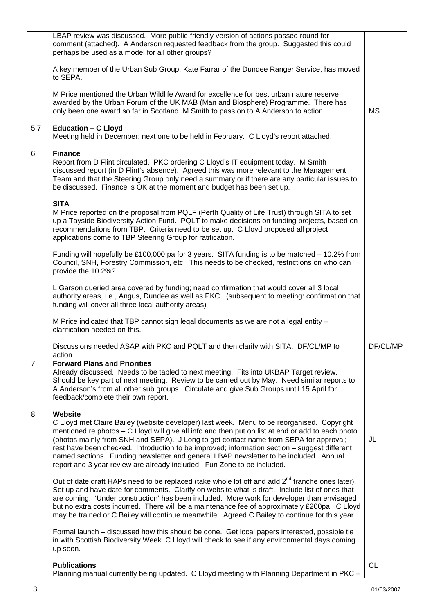|                | LBAP review was discussed. More public-friendly version of actions passed round for<br>comment (attached). A Anderson requested feedback from the group. Suggested this could<br>perhaps be used as a model for all other groups?                                                                                                                                                                                                                                                                                                                                       |           |
|----------------|-------------------------------------------------------------------------------------------------------------------------------------------------------------------------------------------------------------------------------------------------------------------------------------------------------------------------------------------------------------------------------------------------------------------------------------------------------------------------------------------------------------------------------------------------------------------------|-----------|
|                | A key member of the Urban Sub Group, Kate Farrar of the Dundee Ranger Service, has moved<br>to SEPA.                                                                                                                                                                                                                                                                                                                                                                                                                                                                    |           |
|                | M Price mentioned the Urban Wildlife Award for excellence for best urban nature reserve<br>awarded by the Urban Forum of the UK MAB (Man and Biosphere) Programme. There has<br>only been one award so far in Scotland. M Smith to pass on to A Anderson to action.                                                                                                                                                                                                                                                                                                     | <b>MS</b> |
| 5.7            | Education - C Lloyd<br>Meeting held in December; next one to be held in February. C Lloyd's report attached.                                                                                                                                                                                                                                                                                                                                                                                                                                                            |           |
| 6              | <b>Finance</b><br>Report from D Flint circulated. PKC ordering C Lloyd's IT equipment today. M Smith<br>discussed report (in D Flint's absence). Agreed this was more relevant to the Management<br>Team and that the Steering Group only need a summary or if there are any particular issues to<br>be discussed. Finance is OK at the moment and budget has been set up.                                                                                                                                                                                              |           |
|                | <b>SITA</b><br>M Price reported on the proposal from PQLF (Perth Quality of Life Trust) through SITA to set<br>up a Tayside Biodiversity Action Fund. PQLT to make decisions on funding projects, based on<br>recommendations from TBP. Criteria need to be set up. C Lloyd proposed all project<br>applications come to TBP Steering Group for ratification.                                                                                                                                                                                                           |           |
|                | Funding will hopefully be £100,000 pa for 3 years. SITA funding is to be matched - 10.2% from<br>Council, SNH, Forestry Commission, etc. This needs to be checked, restrictions on who can<br>provide the 10.2%?                                                                                                                                                                                                                                                                                                                                                        |           |
|                | L Garson queried area covered by funding; need confirmation that would cover all 3 local<br>authority areas, i.e., Angus, Dundee as well as PKC. (subsequent to meeting: confirmation that<br>funding will cover all three local authority areas)                                                                                                                                                                                                                                                                                                                       |           |
|                | M Price indicated that TBP cannot sign legal documents as we are not a legal entity -<br>clarification needed on this.                                                                                                                                                                                                                                                                                                                                                                                                                                                  |           |
|                | Discussions needed ASAP with PKC and PQLT and then clarify with SITA. DF/CL/MP to<br>action.                                                                                                                                                                                                                                                                                                                                                                                                                                                                            | DF/CL/MP  |
| $\overline{7}$ | <b>Forward Plans and Priorities</b><br>Already discussed. Needs to be tabled to next meeting. Fits into UKBAP Target review.<br>Should be key part of next meeting. Review to be carried out by May. Need similar reports to<br>A Anderson's from all other sub groups. Circulate and give Sub Groups until 15 April for<br>feedback/complete their own report.                                                                                                                                                                                                         |           |
| 8              | Website<br>C Lloyd met Claire Bailey (website developer) last week. Menu to be reorganised. Copyright<br>mentioned re photos - C Lloyd will give all info and then put on list at end or add to each photo<br>(photos mainly from SNH and SEPA). J Long to get contact name from SEPA for approval;<br>rest have been checked. Introduction to be improved; information section - suggest different<br>named sections. Funding newsletter and general LBAP newsletter to be included. Annual<br>report and 3 year review are already included. Fun Zone to be included. | JL        |
|                | Out of date draft HAPs need to be replaced (take whole lot off and add $2^{nd}$ tranche ones later).<br>Set up and have date for comments. Clarify on website what is draft. Include list of ones that<br>are coming. 'Under construction' has been included. More work for developer than envisaged<br>but no extra costs incurred. There will be a maintenance fee of approximately £200pa. C Lloyd<br>may be trained or C Bailey will continue meanwhile. Agreed C Bailey to continue for this year.                                                                 |           |
|                | Formal launch – discussed how this should be done. Get local papers interested, possible tie<br>in with Scottish Biodiversity Week. C Lloyd will check to see if any environmental days coming<br>up soon.                                                                                                                                                                                                                                                                                                                                                              |           |
|                | <b>Publications</b><br>Planning manual currently being updated. C Lloyd meeting with Planning Department in PKC -                                                                                                                                                                                                                                                                                                                                                                                                                                                       | <b>CL</b> |